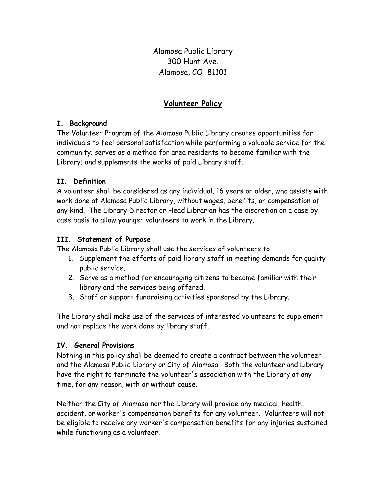Alamosa Public Library 300 Hunt Ave. Alamosa, CO 81101

# Volunteer Policy

## I. Background

The Volunteer Program of the Alamosa Public Library creates opportunities for individuals to feel personal satisfaction while performing a valuable service for the community; serves as a method for area residents to become familiar with the Library; and supplements the works of paid Library staff.

## II. Definition

A volunteer shall be considered as any individual, 16 years or older, who assists with work done at Alamosa Public Library, without wages, benefits, or compensation of any kind. The Library Director or Head Librarian has the discretion on a case by case basis to allow younger volunteers to work in the Library.

### III. Statement of Purpose

The Alamosa Public Library shall use the services of volunteers to:

- 1. Supplement the efforts of paid library staff in meeting demands for quality public service.
- 2. Serve as a method for encouraging citizens to become familiar with their library and the services being offered.
- 3. Staff or support fundraising activities sponsored by the Library.

The Library shall make use of the services of interested volunteers to supplement and not replace the work done by library staff.

### IV. General Provisions

Nothing in this policy shall be deemed to create a contract between the volunteer and the Alamosa Public Library or City of Alamosa. Both the volunteer and Library have the right to terminate the volunteer's association with the Library at any time, for any reason, with or without cause.

Neither the City of Alamosa nor the Library will provide any medical, health, accident, or worker's compensation benefits for any volunteer. Volunteers will not be eligible to receive any worker's compensation benefits for any injuries sustained while functioning as a volunteer.